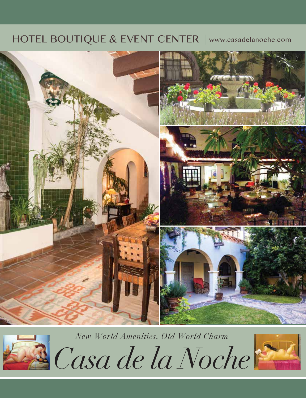### HOTEL BOUTIQUE & EVENT CENTER | www.casadelanoche.com



*New World Amenities, Old World Charm Casa de la Noche*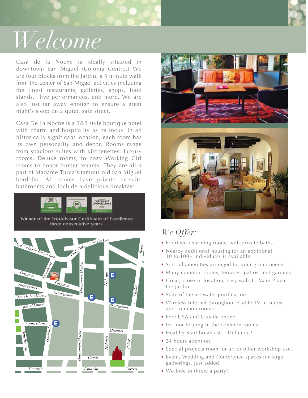

# *Welcome*

Casa de la Noche is ideally situated in downtown San Miguel (Colonia Centro.) We are four blocks from the Jardin, a 5 minute walk from the center of San Miguel activities including the finest restaurants, galleries, shops, food stands, live performances, and more. We are also just far away enough to ensure a great night's sleep on a quiet, safe street.

Casa De La Noche is a B&B style boutique hotel with charm and hospitality as its focus. In an historically significant location, each room has its own personality and decor. Rooms range from spacious suites with kitchenettes, Luxury rooms, Deluxe rooms, to cozy Working Girl rooms to honor former tenants. They are all a part of Madame Turca's famous old San Miguel bordello. All rooms have private en-suite bathrooms and include a delicious breakfast.







### *We Offer:*

- Fourteen charming rooms with private baths.
- Nearby additional housing for an additional 10 to 100+ individuals is available.
- Special amenities arranged for your group needs.
- Many common rooms, terraces, patios, and gardens.
- Great, close-in location, easy walk to Main Plaza, the Jardin.
- State of the art water purification.
- Wireless Internet throughout /Cable TV in suites and common rooms.
- Free USA and Canada phone.
- In-floor heating in the common rooms.
- Healthy Start breakfast… Delicious!
- 24 hours attention.
- Special projects room for art or other workshop use.
- Event, Wedding and Conference spaces for large gatherings, just added.
- We love to throw a party!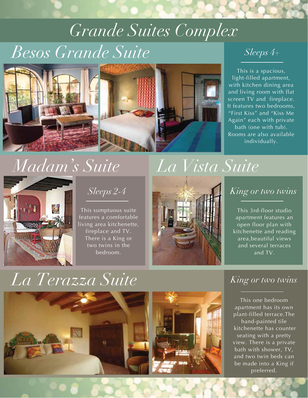# *Besos Grande Suite Sleeps 4+ Grande Suites Complex*



This is a spacious, light-filled apartment, with kitchen dining area and living room with flat screen TV and fireplace. It features two bedrooms, "First Kiss" and "Kiss Me Again" each with private bath (one with tub). Rooms are also available individually.

## *Madam's Suite*



This sumptuous suite features a comfortable living area kitchenette, fireplace and TV. There is a King or two twins in the bedroom.



This 3rd-floor studio apartment features an open floor plan with kitchenette and reading area,beautiful views and several terraces and TV.

## *La Terazza Suite King or two twins*



This one bedroom apartment has its own plant-filled terrace.The hand-painted tile kitchenette has counter seating with a pretty view. There is a private bath with shower, TV, and two twin beds can be made into a King if preferred.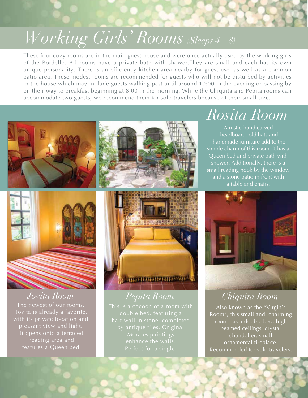*Working Girls' Rooms (Sleeps 4 – 8)*

These four cozy rooms are in the main guest house and were once actually used by the working girls of the Bordello. All rooms have a private bath with shower.They are small and each has its own unique personality. There is an efficiency kitchen area nearby for guest use, as well as a common patio area. These modest rooms are recommended for guests who will not be disturbed by activities in the house which may include guests walking past until around 10:00 in the evening or passing by on their way to breakfast beginning at 8:00 in the morning. While the Chiquita and Pepita rooms can accommodate two guests, we recommend them for solo travelers because of their small size.







The newest of our rooms, Jovita is already a favorite, with its private location and pleasant view and light. It opens onto a terraced reading area and features a Queen bed.



This is a cocoon of a room with enhance the walls. Perfect for a single.

## *Rosita Room*

A rustic hand carved headboard, old hats and handmade furniture add to the simple charm of this room. It has a Queen bed and private bath with shower. Additionally, there is a small reading nook by the window and a stone patio in front with a table and chairs.



### *Jovita Room Pepita Room Chiquita Room*

Also known as the "Virgin's Room", this small and charming room has a double bed, high beamed ceilings, crystal chandelier, small ornamental fireplace. Recommended for solo travelers.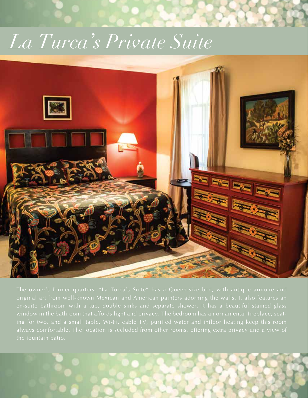# *La Turca's Private Suite*

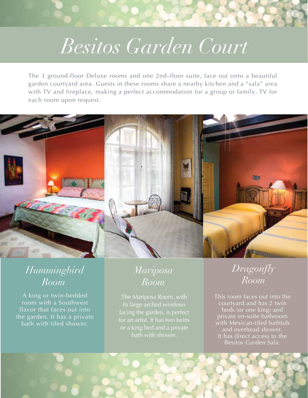# *Besitos Garden Court*

The 3 ground-floor Deluxe rooms and one 2nd–floor suite, face out onto a beautiful garden courtyard area. Guests in these rooms share a nearby kitchen and a "sala" area with TV and fireplace, making a perfect accommodation for a group or family. TV for each room upon request.



### *Hummingbird Room*

A king or twin-bedded room with a Southwest flavor that faces out into the garden. It has a private bath with tiled shower.

### *Mariposa Room*

The Mariposa Room, with its large arched windows facing the garden, is perfect bath with shower.

*Dragonfly Room*

This room faces out into the courtyard and has 2 twin beds (or one king) and private en-suite bathroom with Mexican-tiled bathtub and overhead shower. It has direct access to the Besitos Garden Sala.

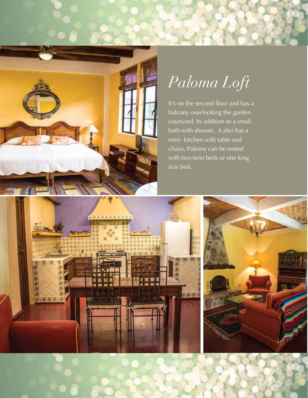

# *Paloma Loft*

It's on the second floor and has a balcony overlooking the garden courtyard. In addition to a small bath with shower, it also has a mini- kitchen with table and chairs. Paloma can be rented with two twin beds or one king size bed.